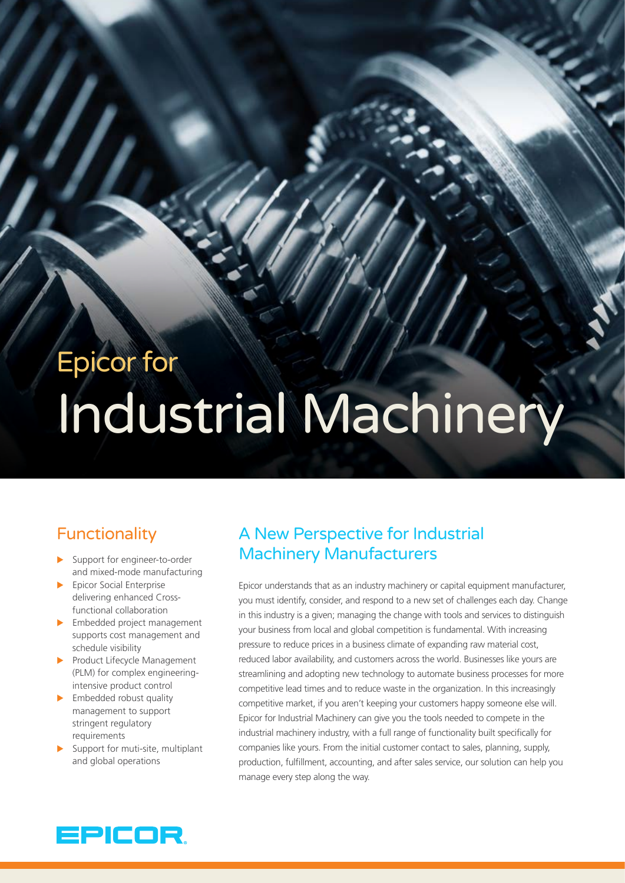# Epicor for Industrial Machinery

# **Functionality**

- $\blacktriangleright$  Support for engineer-to-order and mixed-mode manufacturing
- $\blacktriangleright$  Epicor Social Enterprise delivering enhanced Crossfunctional collaboration
- $\blacktriangleright$  Embedded project management supports cost management and schedule visibility
- $\blacktriangleright$  Product Lifecycle Management (PLM) for complex engineeringintensive product control
- $\blacktriangleright$  Embedded robust quality management to support stringent regulatory requirements
- Support for muti-site, multiplant and global operations

# A New Perspective for Industrial Machinery Manufacturers

Epicor understands that as an industry machinery or capital equipment manufacturer, you must identify, consider, and respond to a new set of challenges each day. Change in this industry is a given; managing the change with tools and services to distinguish your business from local and global competition is fundamental. With increasing pressure to reduce prices in a business climate of expanding raw material cost, reduced labor availability, and customers across the world. Businesses like yours are streamlining and adopting new technology to automate business processes for more competitive lead times and to reduce waste in the organization. In this increasingly competitive market, if you aren't keeping your customers happy someone else will. Epicor for Industrial Machinery can give you the tools needed to compete in the industrial machinery industry, with a full range of functionality built specifically for companies like yours. From the initial customer contact to sales, planning, supply, production, fulfillment, accounting, and after sales service, our solution can help you manage every step along the way.

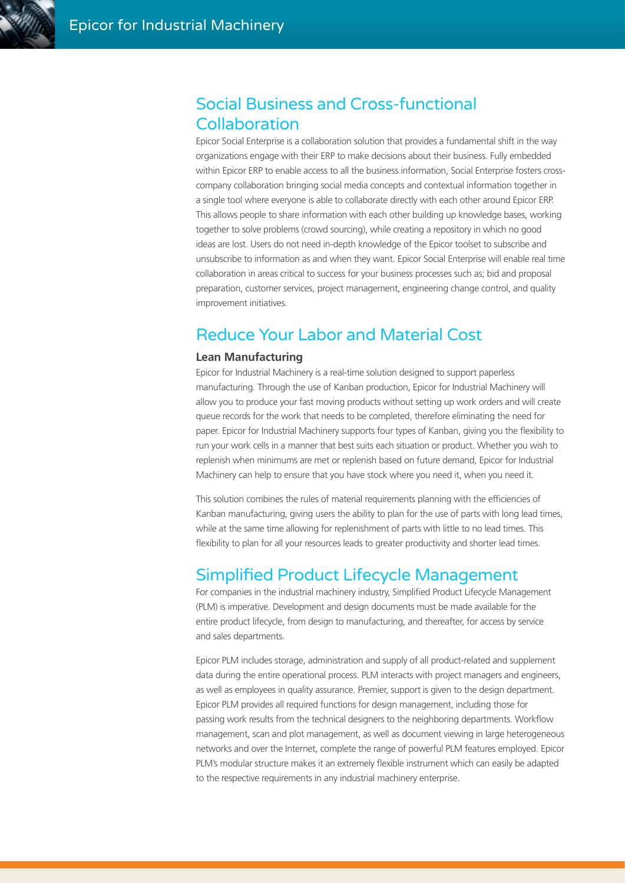

# Social Business and Cross-functional Collaboration

Epicor Social Enterprise is a collaboration solution that provides a fundamental shift in the way organizations engage with their ERP to make decisions about their business. Fully embedded within Epicor ERP to enable access to all the business information, Social Enterprise fosters crosscompany collaboration bringing social media concepts and contextual information together in a single tool where everyone is able to collaborate directly with each other around Epicor ERP. This allows people to share information with each other building up knowledge bases, working together to solve problems (crowd sourcing), while creating a repository in which no good ideas are lost. Users do not need in-depth knowledge of the Epicor toolset to subscribe and unsubscribe to information as and when they want. Epicor Social Enterprise will enable real time collaboration in areas critical to success for your business processes such as; bid and proposal preparation, customer services, project management, engineering change control, and quality improvement initiatives.

# Reduce Your Labor and Material Cost

#### **Lean Manufacturing**

Epicor for Industrial Machinery is a real-time solution designed to support paperless manufacturing. Through the use of Kanban production, Epicor for Industrial Machinery will allow you to produce your fast moving products without setting up work orders and will create queue records for the work that needs to be completed, therefore eliminating the need for paper. Epicor for Industrial Machinery supports four types of Kanban, giving you the flexibility to run your work cells in a manner that best suits each situation or product. Whether you wish to replenish when minimums are met or replenish based on future demand, Epicor for Industrial Machinery can help to ensure that you have stock where you need it, when you need it.

This solution combines the rules of material requirements planning with the efficiencies of Kanban manufacturing, giving users the ability to plan for the use of parts with long lead times, while at the same time allowing for replenishment of parts with little to no lead times. This flexibility to plan for all your resources leads to greater productivity and shorter lead times.

# Simplified Product Lifecycle Management

For companies in the industrial machinery industry, Simplified Product Lifecycle Management (PLM) is imperative. Development and design documents must be made available for the entire product lifecycle, from design to manufacturing, and thereafter, for access by service and sales departments.

Epicor PLM includes storage, administration and supply of all product-related and supplement data during the entire operational process. PLM interacts with project managers and engineers, as well as employees in quality assurance. Premier, support is given to the design department. Epicor PLM provides all required functions for design management, including those for passing work results from the technical designers to the neighboring departments. Workflow management, scan and plot management, as well as document viewing in large heterogeneous networks and over the Internet, complete the range of powerful PLM features employed. Epicor PLM's modular structure makes it an extremely flexible instrument which can easily be adapted to the respective requirements in any industrial machinery enterprise.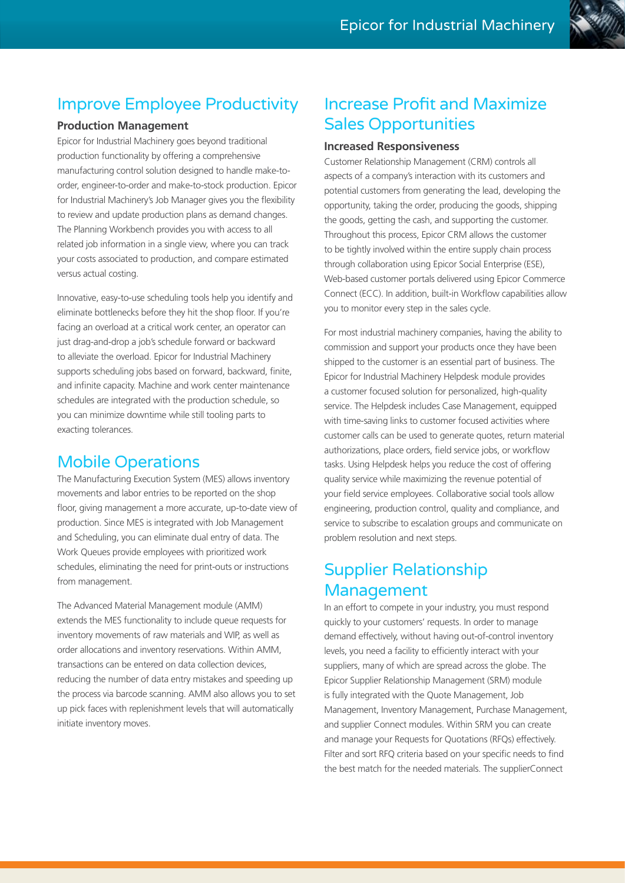# Improve Employee Productivity

#### **Production Management**

Epicor for Industrial Machinery goes beyond traditional production functionality by offering a comprehensive manufacturing control solution designed to handle make-toorder, engineer-to-order and make-to-stock production. Epicor for Industrial Machinery's Job Manager gives you the flexibility to review and update production plans as demand changes. The Planning Workbench provides you with access to all related job information in a single view, where you can track your costs associated to production, and compare estimated versus actual costing.

Innovative, easy-to-use scheduling tools help you identify and eliminate bottlenecks before they hit the shop floor. If you're facing an overload at a critical work center, an operator can just drag-and-drop a job's schedule forward or backward to alleviate the overload. Epicor for Industrial Machinery supports scheduling jobs based on forward, backward, finite, and infinite capacity. Machine and work center maintenance schedules are integrated with the production schedule, so you can minimize downtime while still tooling parts to exacting tolerances.

# Mobile Operations

The Manufacturing Execution System (MES) allows inventory movements and labor entries to be reported on the shop floor, giving management a more accurate, up-to-date view of production. Since MES is integrated with Job Management and Scheduling, you can eliminate dual entry of data. The Work Queues provide employees with prioritized work schedules, eliminating the need for print-outs or instructions from management.

The Advanced Material Management module (AMM) extends the MES functionality to include queue requests for inventory movements of raw materials and WIP, as well as order allocations and inventory reservations. Within AMM, transactions can be entered on data collection devices, reducing the number of data entry mistakes and speeding up the process via barcode scanning. AMM also allows you to set up pick faces with replenishment levels that will automatically initiate inventory moves.

# Increase Profit and Maximize Sales Opportunities

#### **Increased Responsiveness**

Customer Relationship Management (CRM) controls all aspects of a company's interaction with its customers and potential customers from generating the lead, developing the opportunity, taking the order, producing the goods, shipping the goods, getting the cash, and supporting the customer. Throughout this process, Epicor CRM allows the customer to be tightly involved within the entire supply chain process through collaboration using Epicor Social Enterprise (ESE), Web-based customer portals delivered using Epicor Commerce Connect (ECC). In addition, built-in Workflow capabilities allow you to monitor every step in the sales cycle.

For most industrial machinery companies, having the ability to commission and support your products once they have been shipped to the customer is an essential part of business. The Epicor for Industrial Machinery Helpdesk module provides a customer focused solution for personalized, high-quality service. The Helpdesk includes Case Management, equipped with time-saving links to customer focused activities where customer calls can be used to generate quotes, return material authorizations, place orders, field service jobs, or workflow tasks. Using Helpdesk helps you reduce the cost of offering quality service while maximizing the revenue potential of your field service employees. Collaborative social tools allow engineering, production control, quality and compliance, and service to subscribe to escalation groups and communicate on problem resolution and next steps.

# Supplier Relationship Management

In an effort to compete in your industry, you must respond quickly to your customers' requests. In order to manage demand effectively, without having out-of-control inventory levels, you need a facility to efficiently interact with your suppliers, many of which are spread across the globe. The Epicor Supplier Relationship Management (SRM) module is fully integrated with the Quote Management, Job Management, Inventory Management, Purchase Management, and supplier Connect modules. Within SRM you can create and manage your Requests for Quotations (RFQs) effectively. Filter and sort RFQ criteria based on your specific needs to find the best match for the needed materials. The supplierConnect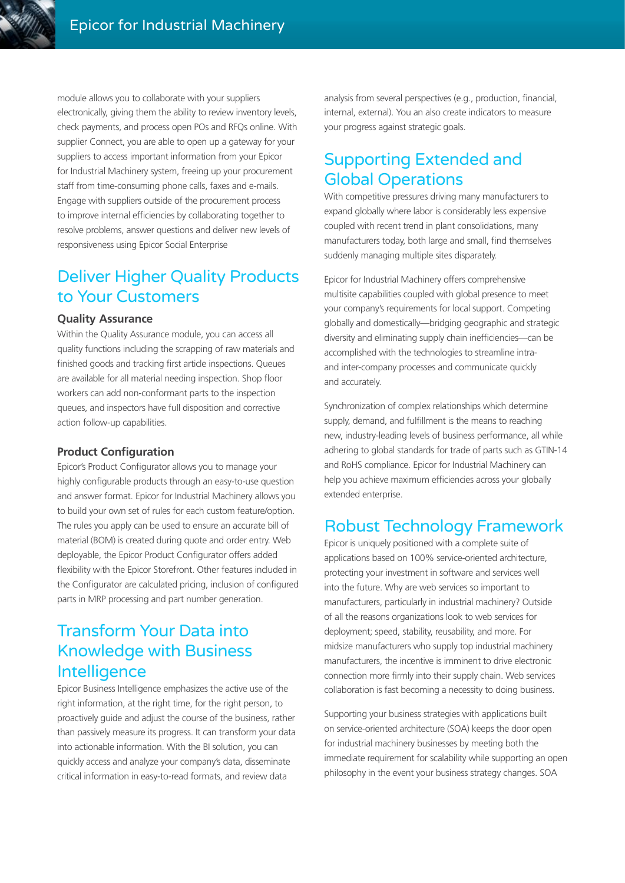

module allows you to collaborate with your suppliers electronically, giving them the ability to review inventory levels. check payments, and process open POs and RFQs online. With supplier Connect, you are able to open up a gateway for your suppliers to access important information from your Epicor for Industrial Machinery system, freeing up your procurement staff from time-consuming phone calls, faxes and e-mails. Engage with suppliers outside of the procurement process to improve internal efficiencies by collaborating together to resolve problems, answer questions and deliver new levels of responsiveness using Epicor Social Enterprise

# Deliver Higher Quality Products to Your Customers

#### **Quality Assurance**

Within the Quality Assurance module, you can access all quality functions including the scrapping of raw materials and finished goods and tracking first article inspections. Queues are available for all material needing inspection. Shop floor workers can add non-conformant parts to the inspection queues, and inspectors have full disposition and corrective action follow-up capabilities.

#### **Product Configuration**

Epicor's Product Configurator allows you to manage your highly configurable products through an easy-to-use question and answer format. Epicor for Industrial Machinery allows you to build your own set of rules for each custom feature/option. The rules you apply can be used to ensure an accurate bill of material (BOM) is created during quote and order entry. Web deployable, the Epicor Product Configurator offers added flexibility with the Epicor Storefront. Other features included in the Configurator are calculated pricing, inclusion of configured parts in MRP processing and part number generation.

# Transform Your Data into Knowledge with Business **Intelligence**

Epicor Business Intelligence emphasizes the active use of the right information, at the right time, for the right person, to proactively guide and adjust the course of the business, rather than passively measure its progress. It can transform your data into actionable information. With the BI solution, you can quickly access and analyze your company's data, disseminate critical information in easy-to-read formats, and review data

analysis from several perspectives (e.g., production, financial, internal, external). You an also create indicators to measure your progress against strategic goals.

# Supporting Extended and Global Operations

With competitive pressures driving many manufacturers to expand globally where labor is considerably less expensive coupled with recent trend in plant consolidations, many manufacturers today, both large and small, find themselves suddenly managing multiple sites disparately.

Epicor for Industrial Machinery offers comprehensive multisite capabilities coupled with global presence to meet your company's requirements for local support. Competing globally and domestically—bridging geographic and strategic diversity and eliminating supply chain inefficiencies—can be accomplished with the technologies to streamline intraand inter-company processes and communicate quickly and accurately.

Synchronization of complex relationships which determine supply, demand, and fulfillment is the means to reaching new, industry-leading levels of business performance, all while adhering to global standards for trade of parts such as GTIN-14 and RoHS compliance. Epicor for Industrial Machinery can help you achieve maximum efficiencies across your globally extended enterprise.

# Robust Technology Framework

Epicor is uniquely positioned with a complete suite of applications based on 100% service-oriented architecture, protecting your investment in software and services well into the future. Why are web services so important to manufacturers, particularly in industrial machinery? Outside of all the reasons organizations look to web services for deployment; speed, stability, reusability, and more. For midsize manufacturers who supply top industrial machinery manufacturers, the incentive is imminent to drive electronic connection more firmly into their supply chain. Web services collaboration is fast becoming a necessity to doing business.

Supporting your business strategies with applications built on service-oriented architecture (SOA) keeps the door open for industrial machinery businesses by meeting both the immediate requirement for scalability while supporting an open philosophy in the event your business strategy changes. SOA